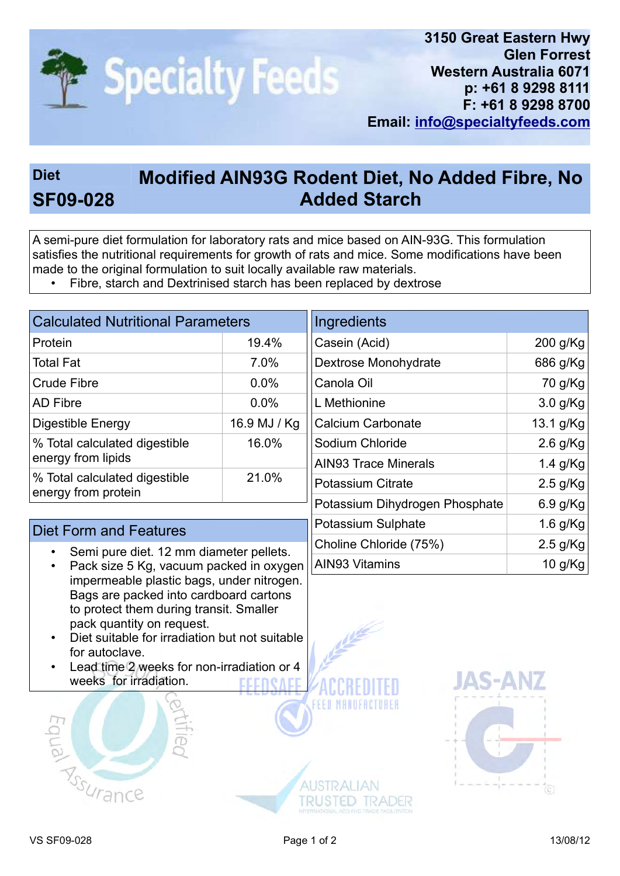

## Diet Modified AIN93G Rodent Diet, No Added Fibre, No SF09-028 Added Starch

A semi-pure diet formulation for laboratory rats and mice based on AIN-93G. This formulation satisfies the nutritional requirements for growth of rats and mice. Some modifications have been made to the original formulation to suit locally available raw materials.

• Fibre, starch and Dextrinised starch has been replaced by dextrose

| <b>Calculated Nutritional Parameters</b>             |              |  |  |
|------------------------------------------------------|--------------|--|--|
| Protein                                              | 19.4%        |  |  |
| <b>Total Fat</b>                                     | 7.0%         |  |  |
| <b>Crude Fibre</b>                                   | 0.0%         |  |  |
| <b>AD Fibre</b>                                      | 0.0%         |  |  |
| Digestible Energy                                    | 16.9 MJ / Kg |  |  |
| % Total calculated digestible<br>energy from lipids  | 16.0%        |  |  |
| % Total calculated digestible<br>energy from protein | 21.0%        |  |  |

## Diet Form and Features

- Semi pure diet. 12 mm diameter pellets.
- Pack size 5 Kg, vacuum packed in oxygen impermeable plastic bags, under nitrogen. Bags are packed into cardboard cartons to protect them during transit. Smaller pack quantity on request.
- Diet suitable for irradiation but not suitable for autoclave.
- Lead time 2 weeks for non-irradiation or 4 weeks for irradiation.



| Ingredients                    |            |
|--------------------------------|------------|
| Casein (Acid)                  | 200 g/Kg   |
| Dextrose Monohydrate           | 686 g/Kg   |
| Canola Oil                     | 70 g/Kg    |
| L Methionine                   | $3.0$ g/Kg |
| Calcium Carbonate              | 13.1 g/Kg  |
| Sodium Chloride                | $2.6$ g/Kg |
| <b>AIN93 Trace Minerals</b>    | 1.4 $g/Kg$ |
| Potassium Citrate              | $2.5$ g/Kg |
| Potassium Dihydrogen Phosphate | $6.9$ g/Kg |
| Potassium Sulphate             | $1.6$ g/Kg |
| Choline Chloride (75%)         | $2.5$ g/Kg |
| <b>AIN93 Vitamins</b>          | 10 g/ $Kg$ |



EED MANIER

**AUSTRALIAN** 

TRUSTED TRADER